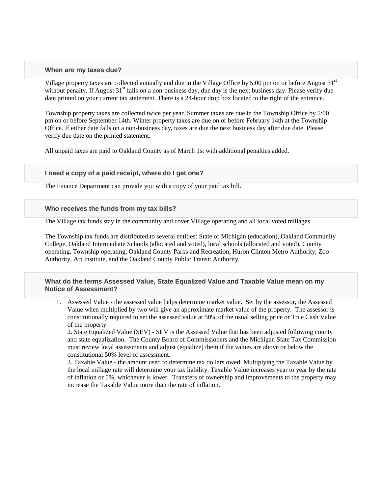#### **When are my taxes due?**

Village property taxes are collected annually and due in the Village Office by 5:00 pm on or before August  $31<sup>st</sup>$ without penalty. If August  $31<sup>st</sup>$  falls on a non-business day, due day is the next business day. Please verify due date printed on your current tax statement. There is a 24-hour drop box located to the right of the entrance.

Township property taxes are collected twice per year. Summer taxes are due in the Township Office by 5:00 pm on or before September 14th. Winter property taxes are due on or before February 14th at the Township Office. If either date falls on a non-business day, taxes are due the next business day after due date. Please verify due date on the printed statement.

All unpaid taxes are paid to Oakland County as of March 1st with additional penalties added.

## **I need a copy of a paid receipt, where do I get one?**

The Finance Department can provide you with a copy of your paid tax bill.

#### **Who receives the funds from my tax bills?**

The Village tax funds stay in the community and cover Village operating and all local voted millages.

The Township tax funds are distributed to several entities: State of Michigan (education), Oakland Community College, Oakland Intermediate Schools (allocated and voted), local schools (allocated and voted), County operating, Township operating, Oakland County Parks and Recreation, Huron Clinton Metro Authority, Zoo Authority, Art Institute, and the Oakland County Public Transit Authority.

## **What do the terms Assessed Value, State Equalized Value and Taxable Value mean on my Notice of Assessment?**

1. Assessed Value - the assessed value helps determine market value. Set by the assessor, the Assessed Value when multiplied by two will give an approximate market value of the property. The assessor is constitutionally required to set the assessed value at 50% of the usual selling price or True Cash Value of the property.

2. State Equalized Value (SEV) - SEV is the Assessed Value that has been adjusted following county and state equalization. The County Board of Commissioners and the Michigan State Tax Commission must review local assessments and adjust (equalize) them if the values are above or below the constitutional 50% level of assessment.

3. Taxable Value - the amount used to determine tax dollars owed. Multiplying the Taxable Value by the local millage rate will determine your tax liability. Taxable Value increases year to year by the rate of inflation or 5%, whichever is lower. Transfers of ownership and improvements to the property may increase the Taxable Value more than the rate of inflation.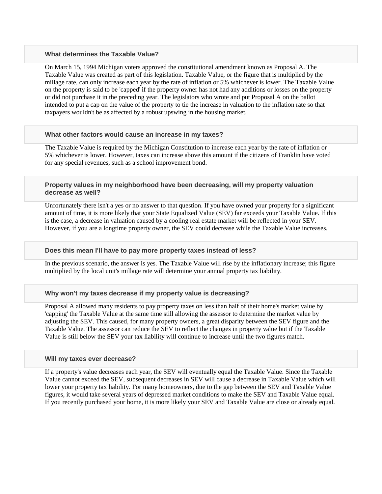#### **What determines the Taxable Value?**

On March 15, 1994 Michigan voters approved the constitutional amendment known as Proposal A. The Taxable Value was created as part of this legislation. Taxable Value, or the figure that is multiplied by the millage rate, can only increase each year by the rate of inflation or 5% whichever is lower. The Taxable Value on the property is said to be 'capped' if the property owner has not had any additions or losses on the property or did not purchase it in the preceding year. The legislators who wrote and put Proposal A on the ballot intended to put a cap on the value of the property to tie the increase in valuation to the inflation rate so that taxpayers wouldn't be as affected by a robust upswing in the housing market.

#### **What other factors would cause an increase in my taxes?**

The Taxable Value is required by the Michigan Constitution to increase each year by the rate of inflation or 5% whichever is lower. However, taxes can increase above this amount if the citizens of Franklin have voted for any special revenues, such as a school improvement bond.

**Property values in my neighborhood have been decreasing, will my property valuation decrease as well?**

Unfortunately there isn't a yes or no answer to that question. If you have owned your property for a significant amount of time, it is more likely that your State Equalized Value (SEV) far exceeds your Taxable Value. If this is the case, a decrease in valuation caused by a cooling real estate market will be reflected in your SEV. However, if you are a longtime property owner, the SEV could decrease while the Taxable Value increases.

## **Does this mean I'll have to pay more property taxes instead of less?**

In the previous scenario, the answer is yes. The Taxable Value will rise by the inflationary increase; this figure multiplied by the local unit's millage rate will determine your annual property tax liability.

#### **Why won't my taxes decrease if my property value is decreasing?**

Proposal A allowed many residents to pay property taxes on less than half of their home's market value by 'capping' the Taxable Value at the same time still allowing the assessor to determine the market value by adjusting the SEV. This caused, for many property owners, a great disparity between the SEV figure and the Taxable Value. The assessor can reduce the SEV to reflect the changes in property value but if the Taxable Value is still below the SEV your tax liability will continue to increase until the two figures match.

#### **Will my taxes ever decrease?**

If a property's value decreases each year, the SEV will eventually equal the Taxable Value. Since the Taxable Value cannot exceed the SEV, subsequent decreases in SEV will cause a decrease in Taxable Value which will lower your property tax liability. For many homeowners, due to the gap between the SEV and Taxable Value figures, it would take several years of depressed market conditions to make the SEV and Taxable Value equal. If you recently purchased your home, it is more likely your SEV and Taxable Value are close or already equal.